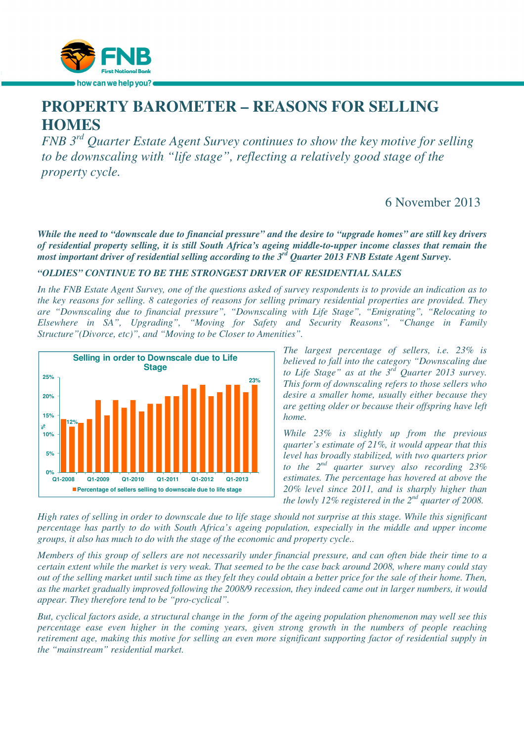

# **PROPERTY BAROMETER – REASONS FOR SELLING HOMES**

*FNB 3rd Quarter Estate Agent Survey continues to show the key motive for selling to be downscaling with "life stage", reflecting a relatively good stage of the property cycle.* 

# 6 November 2013

*While the need to "downscale due to financial pressure" and the desire to "upgrade homes" are still key drivers of residential property selling, it is still South Africa's ageing middle-to-upper income classes that remain the most important driver of residential selling according to the 3rd Quarter 2013 FNB Estate Agent Survey.* 

## *"OLDIES" CONTINUE TO BE THE STRONGEST DRIVER OF RESIDENTIAL SALES*

*In the FNB Estate Agent Survey, one of the questions asked of survey respondents is to provide an indication as to the key reasons for selling. 8 categories of reasons for selling primary residential properties are provided. They are "Downscaling due to financial pressure", "Downscaling with Life Stage", "Emigrating", "Relocating to Elsewhere in SA", Upgrading", "Moving for Safety and Security Reasons", "Change in Family Structure"(Divorce, etc)", and "Moving to be Closer to Amenities".* 



*The largest percentage of sellers, i.e. 23% is believed to fall into the category "Downscaling due to Life Stage" as at the 3rd Quarter 2013 survey. This form of downscaling refers to those sellers who desire a smaller home, usually either because they are getting older or because their offspring have left home.* 

*While 23% is slightly up from the previous quarter's estimate of 21%, it would appear that this level has broadly stabilized, with two quarters prior to the 2nd quarter survey also recording 23% estimates. The percentage has hovered at above the 20% level since 2011, and is sharply higher than the lowly 12% registered in the 2nd quarter of 2008.* 

*High rates of selling in order to downscale due to life stage should not surprise at this stage. While this significant percentage has partly to do with South Africa's ageing population, especially in the middle and upper income groups, it also has much to do with the stage of the economic and property cycle..* 

*Members of this group of sellers are not necessarily under financial pressure, and can often bide their time to a certain extent while the market is very weak. That seemed to be the case back around 2008, where many could stay out of the selling market until such time as they felt they could obtain a better price for the sale of their home. Then, as the market gradually improved following the 2008/9 recession, they indeed came out in larger numbers, it would appear. They therefore tend to be "pro-cyclical".* 

*But, cyclical factors aside, a structural change in the form of the ageing population phenomenon may well see this percentage ease even higher in the coming years, given strong growth in the numbers of people reaching retirement age, making this motive for selling an even more significant supporting factor of residential supply in the "mainstream" residential market.*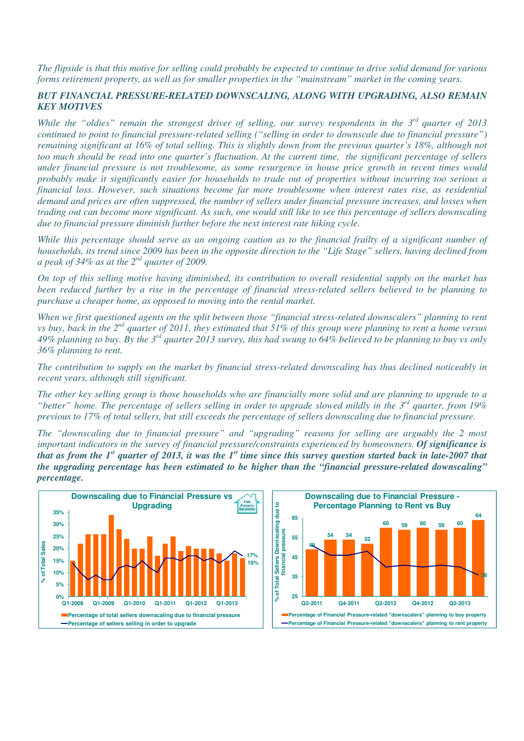*The flipside is that this motive for selling could probably be expected to continue to drive solid demand for various forms retirement property, as well as for smaller properties in the "mainstream" market in the coming years.* 

### *BUT FINANCIAL PRESSURE-RELATED DOWNSCALING, ALONG WITH UPGRADING, ALSO REMAIN KEY MOTIVES*

*While the "oldies" remain the strongest driver of selling, our survey respondents in the 3rd quarter of 2013 continued to point to financial pressure-related selling ("selling in order to downscale due to financial pressure") remaining significant at 16% of total selling. This is slightly down from the previous quarter's 18%, although not too much should be read into one quarter's fluctuation. At the current time, the significant percentage of sellers under financial pressure is not troublesome, as some resurgence in house price growth in recent times would probably make it significantly easier for households to trade out of properties without incurring too serious a financial loss. However, such situations become far more troublesome when interest rates rise, as residential demand and prices are often suppressed, the number of sellers under financial pressure increases, and losses when trading out can become more significant. As such, one would still like to see this percentage of sellers downscaling due to financial pressure diminish further before the next interest rate hiking cycle.* 

*While this percentage should serve as an ongoing caution as to the financial frailty of a significant number of households, its trend since 2009 has been in the opposite direction to the "Life Stage" sellers, having declined from a peak of 34% as at the 2nd quarter of 2009.* 

*On top of this selling motive having diminished, its contribution to overall residential supply on the market has been reduced further by a rise in the percentage of financial stress-related sellers believed to be planning to purchase a cheaper home, as opposed to moving into the rental market.* 

*When we first questioned agents on the split between those "financial stress-related downscalers" planning to rent vs buy, back in the 2nd quarter of 2011, they estimated that 51% of this group were planning to rent a home versus 49% planning to buy. By the 3rd quarter 2013 survey, this had swung to 64% believed to be planning to buy vs only 36% planning to rent.* 

*The contribution to supply on the market by financial stress-related downscaling has thus declined noticeably in recent years, although still significant.* 

*The other key selling group is those households who are financially more solid and are planning to upgrade to a "better" home. The percentage of sellers selling in order to upgrade slowed mildly in the 3rd quarter, from 19% previous to 17% of total sellers, but still exceeds the percentage of sellers downscaling due to financial pressure.* 

*The "downscaling due to financial pressure" and "upgrading" reasons for selling are arguably the 2 most important indicators in the survey of financial pressure/constraints experienced by homeowners. Of significance is that as from the 1st quarter of 2013, it was the 1st time since this survey question started back in late-2007 that the upgrading percentage has been estimated to be higher than the "financial pressure-related downscaling" percentage.* 



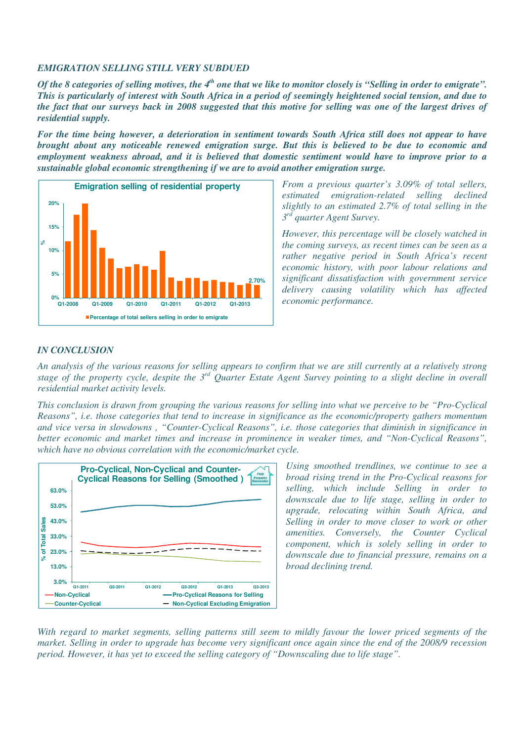#### *EMIGRATION SELLING STILL VERY SUBDUED*

*Of the 8 categories of selling motives, the 4<sup>th</sup> one that we like to monitor closely is "Selling in order to emigrate". This is particularly of interest with South Africa in a period of seemingly heightened social tension, and due to the fact that our surveys back in 2008 suggested that this motive for selling was one of the largest drives of residential supply.* 

*For the time being however, a deterioration in sentiment towards South Africa still does not appear to have brought about any noticeable renewed emigration surge. But this is believed to be due to economic and employment weakness abroad, and it is believed that domestic sentiment would have to improve prior to a sustainable global economic strengthening if we are to avoid another emigration surge.* 



*From a previous quarter's 3.09% of total sellers, estimated emigration-related selling declined slightly to an estimated 2.7% of total selling in the 3 rd quarter Agent Survey.* 

*However, this percentage will be closely watched in the coming surveys, as recent times can be seen as a rather negative period in South Africa's recent economic history, with poor labour relations and significant dissatisfaction with government service delivery causing volatility which has affected economic performance.* 

### *IN CONCLUSION*

*An analysis of the various reasons for selling appears to confirm that we are still currently at a relatively strong stage of the property cycle, despite the 3rd Quarter Estate Agent Survey pointing to a slight decline in overall residential market activity levels.* 

*This conclusion is drawn from grouping the various reasons for selling into what we perceive to be "Pro-Cyclical Reasons", i.e. those categories that tend to increase in significance as the economic/property gathers momentum and vice versa in slowdowns , "Counter-Cyclical Reasons", i.e. those categories that diminish in significance in better economic and market times and increase in prominence in weaker times, and "Non-Cyclical Reasons", which have no obvious correlation with the economic/market cycle.* 



*Using smoothed trendlines, we continue to see a broad rising trend in the Pro-Cyclical reasons for selling, which include Selling in order to downscale due to life stage, selling in order to upgrade, relocating within South Africa, and Selling in order to move closer to work or other amenities. Conversely, the Counter Cyclical component, which is solely selling in order to downscale due to financial pressure, remains on a broad declining trend.* 

*With regard to market segments, selling patterns still seem to mildly favour the lower priced segments of the market. Selling in order to upgrade has become very significant once again since the end of the 2008/9 recession period. However, it has yet to exceed the selling category of "Downscaling due to life stage".*